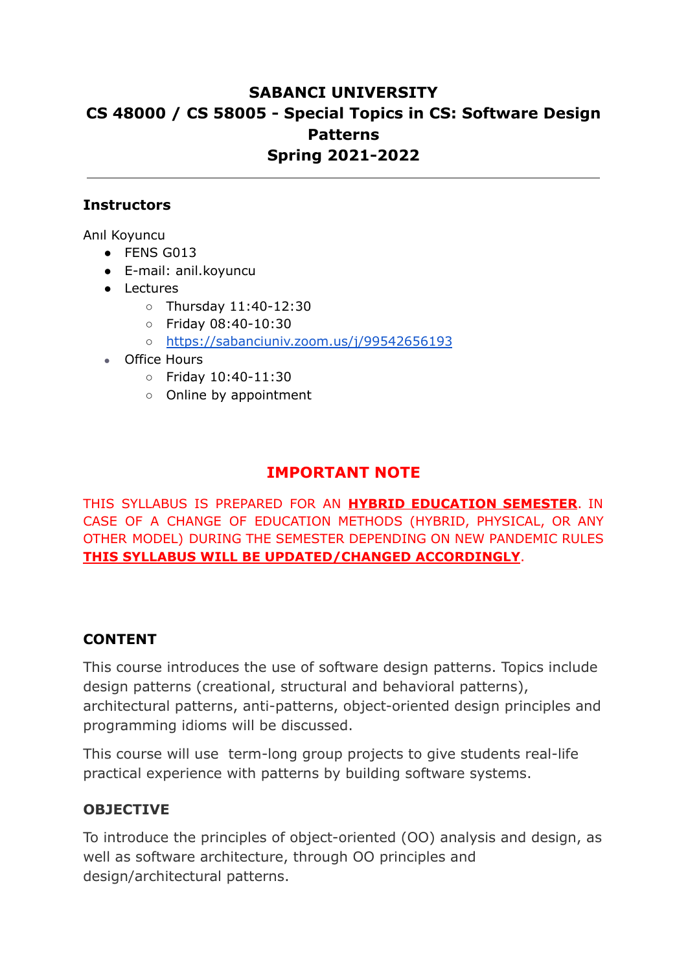# **SABANCI UNIVERSITY CS 48000 / CS 58005 - Special Topics in CS: Software Design Patterns Spring 2021-2022**

#### **Instructors**

Anıl Koyuncu

- FENS G013
- E-mail: anil.koyuncu
- Lectures
	- Thursday 11:40-12:30
	- Friday 08:40-10:30
	- <https://sabanciuniv.zoom.us/j/99542656193>
- Office Hours
	- Friday 10:40-11:30
	- Online by appointment

## **IMPORTANT NOTE**

THIS SYLLABUS IS PREPARED FOR AN **HYBRID EDUCATION SEMESTER**. IN CASE OF A CHANGE OF EDUCATION METHODS (HYBRID, PHYSICAL, OR ANY OTHER MODEL) DURING THE SEMESTER DEPENDING ON NEW PANDEMIC RULES **THIS SYLLABUS WILL BE UPDATED/CHANGED ACCORDINGLY**.

#### **CONTENT**

This course introduces the use of software design patterns. Topics include design patterns (creational, structural and behavioral patterns), architectural patterns, anti-patterns, object-oriented design principles and programming idioms will be discussed.

This course will use term-long group projects to give students real-life practical experience with patterns by building software systems.

### **OBJECTIVE**

To introduce the principles of object-oriented (OO) analysis and design, as well as software architecture, through OO principles and design/architectural patterns.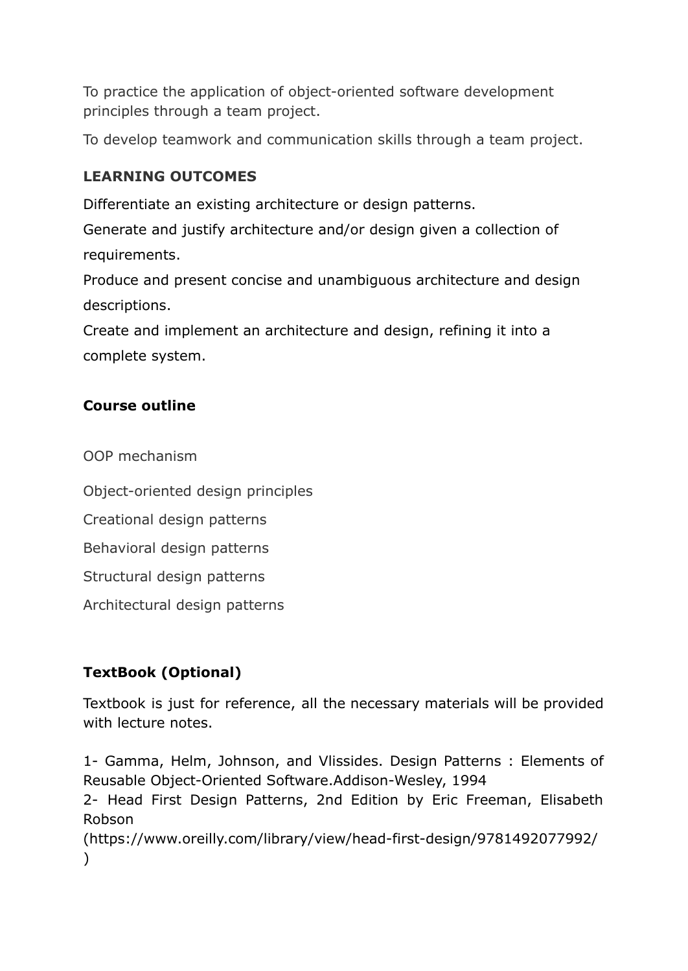To practice the application of object-oriented software development principles through a team project.

To develop teamwork and communication skills through a team project.

## **LEARNING OUTCOMES**

Differentiate an existing architecture or design patterns.

Generate and justify architecture and/or design given a collection of requirements.

Produce and present concise and unambiguous architecture and design descriptions.

Create and implement an architecture and design, refining it into a complete system.

## **Course outline**

OOP mechanism

Object-oriented design principles

Creational design patterns

Behavioral design patterns

Structural design patterns

Architectural design patterns

# **TextBook (Optional)**

Textbook is just for reference, all the necessary materials will be provided with lecture notes.

1- Gamma, Helm, Johnson, and Vlissides. Design Patterns : Elements of Reusable Object-Oriented Software.Addison-Wesley, 1994

2- Head First Design Patterns, 2nd Edition by Eric Freeman, Elisabeth Robson

(https://www.oreilly.com/library/view/head-first-design/9781492077992/  $\lambda$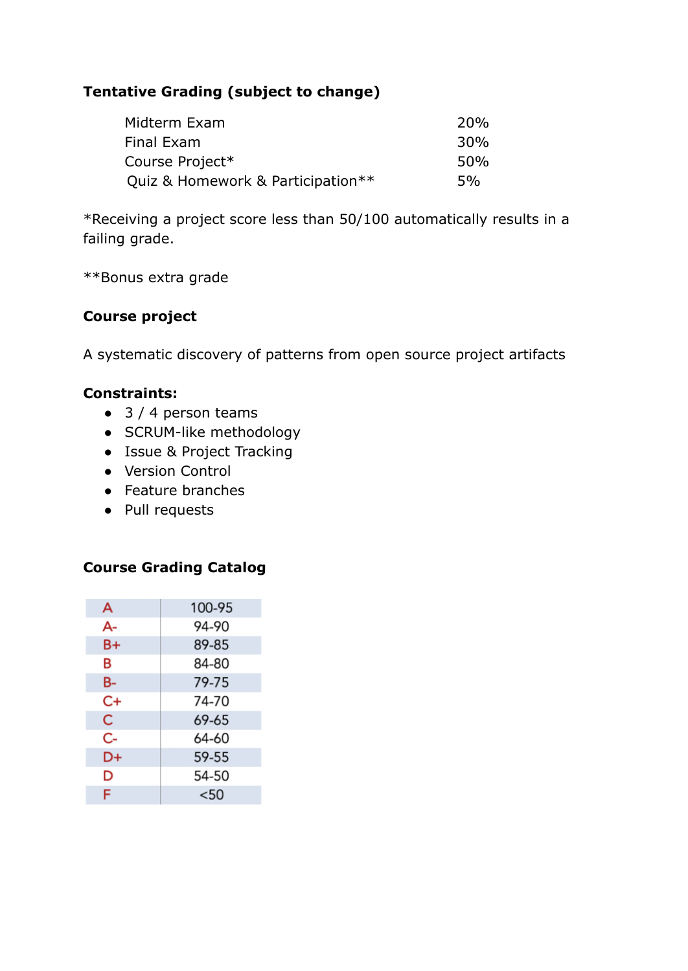## **Tentative Grading (subject to change)**

| Midterm Exam                      | <b>20%</b>      |
|-----------------------------------|-----------------|
| Final Exam                        | 30 <sub>%</sub> |
| Course Project*                   | 50 <sub>%</sub> |
| Quiz & Homework & Participation** | 5%              |

\*Receiving a project score less than 50/100 automatically results in a failing grade.

\*\*Bonus extra grade

### **Course project**

A systematic discovery of patterns from open source project artifacts

#### **Constraints:**

- $\bullet$  3 / 4 person teams
- SCRUM-like methodology
- Issue & Project Tracking
- Version Control
- Feature branches
- Pull requests

### **Course Grading Catalog**

| A  | 100-95 |
|----|--------|
| А- | 94-90  |
| B+ | 89-85  |
| в  | 84-80  |
| B- | 79-75  |
| C+ | 74-70  |
| C  | 69-65  |
| C- | 64-60  |
| D+ | 59-55  |
| D  | 54-50  |
| F  | $50$   |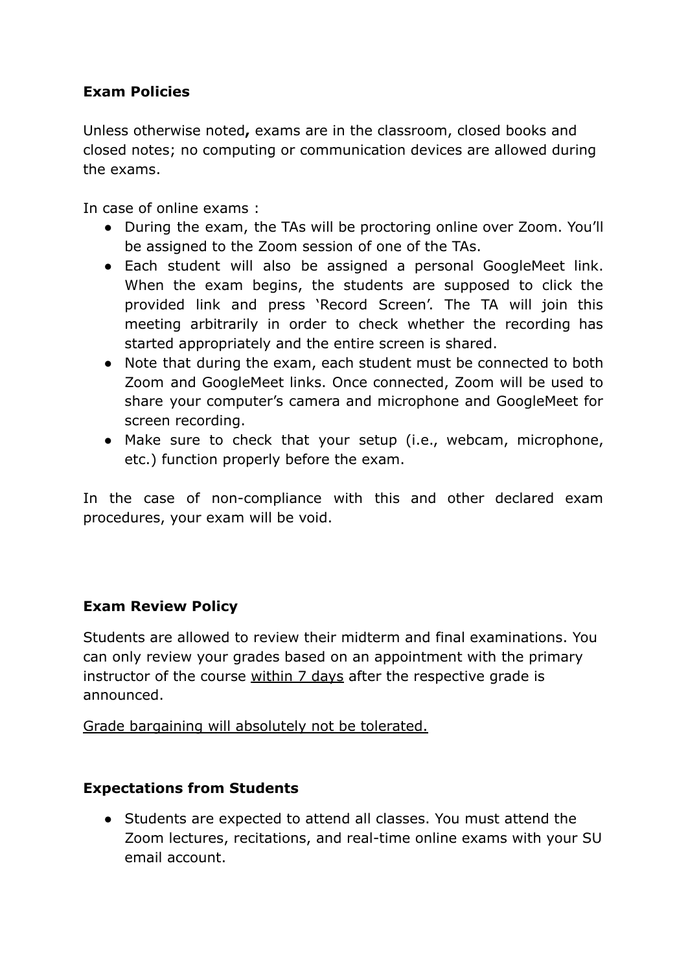## **Exam Policies**

Unless otherwise noted**,** exams are in the classroom, closed books and closed notes; no computing or communication devices are allowed during the exams.

In case of online exams :

- During the exam, the TAs will be proctoring online over Zoom. You'll be assigned to the Zoom session of one of the TAs.
- Each student will also be assigned a personal GoogleMeet link. When the exam begins, the students are supposed to click the provided link and press 'Record Screen'. The TA will join this meeting arbitrarily in order to check whether the recording has started appropriately and the entire screen is shared.
- Note that during the exam, each student must be connected to both Zoom and GoogleMeet links. Once connected, Zoom will be used to share your computer's camera and microphone and GoogleMeet for screen recording.
- Make sure to check that your setup (i.e., webcam, microphone, etc.) function properly before the exam.

In the case of non-compliance with this and other declared exam procedures, your exam will be void.

### **Exam Review Policy**

Students are allowed to review their midterm and final examinations. You can only review your grades based on an appointment with the primary instructor of the course within 7 days after the respective grade is announced.

Grade bargaining will absolutely not be tolerated.

#### **Expectations from Students**

● Students are expected to attend all classes. You must attend the Zoom lectures, recitations, and real-time online exams with your SU email account.